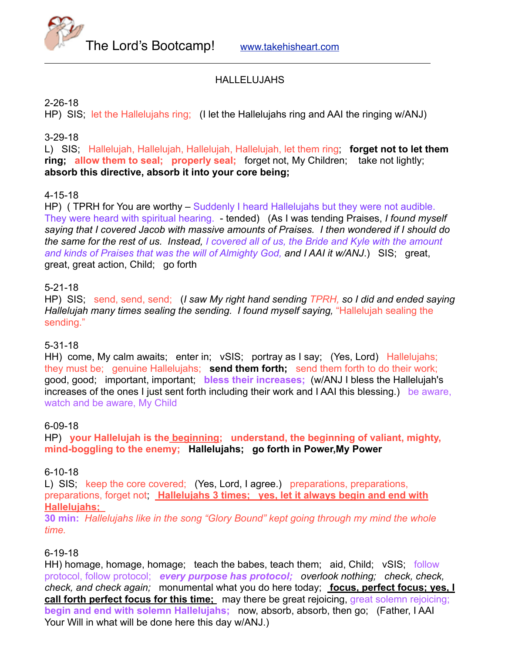The Lord's Bootcamp! [www.takehisheart.com](http://www.takehisheart.com)

### HALLELUJAHS

#### 2-26-18

HP) SIS; let the Hallelujahs ring; (I let the Hallelujahs ring and AAI the ringing w/ANJ)

### 3-29-18

L) SIS; Hallelujah, Hallelujah, Hallelujah, Hallelujah, let them ring; **forget not to let them ring; allow them to seal; properly seal;** forget not, My Children; take not lightly; **absorb this directive, absorb it into your core being;**

### 4-15-18

HP) ( TPRH for You are worthy – Suddenly I heard Hallelujahs but they were not audible. They were heard with spiritual hearing. - tended) (As I was tending Praises, *I found myself saying that I covered Jacob with massive amounts of Praises. I then wondered if I should do the same for the rest of us. Instead, I covered all of us, the Bride and Kyle with the amount and kinds of Praises that was the will of Almighty God, and I AAI it w/ANJ*.) SIS; great, great, great action, Child; go forth

### 5-21-18

HP) SIS; send, send, send; (*I saw My right hand sending TPRH, so I did and ended saying Hallelujah many times sealing the sending. I found myself saying,* "Hallelujah sealing the sending."

### 5-31-18

HH) come, My calm awaits; enter in; vSIS; portray as I say; (Yes, Lord) Hallelujahs; they must be; genuine Hallelujahs; **send them forth;** send them forth to do their work; good, good; important, important; **bless their increases;** (w/ANJ I bless the Hallelujah's increases of the ones I just sent forth including their work and I AAI this blessing.) be aware, watch and be aware, My Child

### 6-09-18

HP) **your Hallelujah is the beginning; understand, the beginning of valiant, mighty, mind-boggling to the enemy; Hallelujahs; go forth in Power,My Power**

### 6-10-18

L) SIS; keep the core covered; (Yes, Lord, I agree.) preparations, preparations, preparations, forget not; **Hallelujahs 3 times; yes, let it always begin and end with Hallelujahs;** 

**30 min:** *Hallelujahs like in the song "Glory Bound" kept going through my mind the whole time.*

### 6-19-18

HH) homage, homage, homage; teach the babes, teach them; aid, Child; vSIS; follow protocol, follow protocol; *every purpose has protocol; overlook nothing; check, check, check, and check again;* monumental what you do here today; **focus, perfect focus; yes, I call forth perfect focus for this time;** may there be great rejoicing, great solemn rejoicing; **begin and end with solemn Hallelujahs;** now, absorb, absorb, then go; (Father, I AAI Your Will in what will be done here this day w/ANJ.)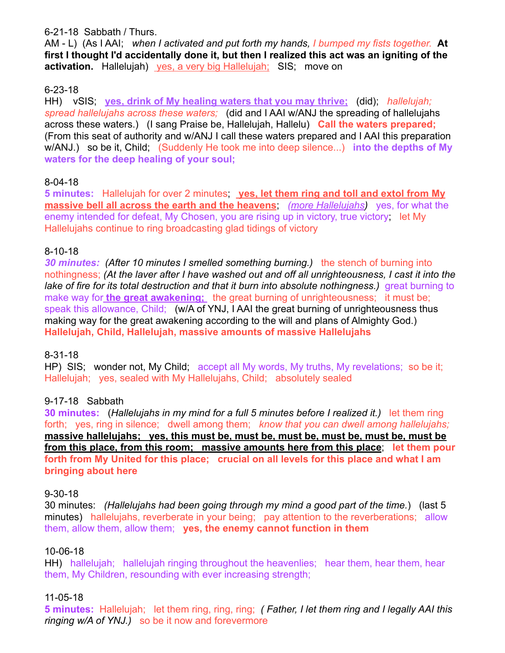### 6-21-18 Sabbath / Thurs.

AM - L) (As I AAI; *when I activated and put forth my hands, I bumped my fists together.* **At first I thought I'd accidentally done it, but then I realized this act was an igniting of the activation.** Hallelujah) yes, a very big Hallelujah; SIS; move on

# 6-23-18

HH) vSIS; **yes, drink of My healing waters that you may thrive;** (did); *hallelujah; spread hallelujahs across these waters;* (did and I AAI w/ANJ the spreading of hallelujahs across these waters.) (I sang Praise be, Hallelujah, Hallelu) **Call the waters prepared;** (From this seat of authority and w/ANJ I call these waters prepared and I AAI this preparation w/ANJ.) so be it, Child; (Suddenly He took me into deep silence...) **into the depths of My waters for the deep healing of your soul;**

# 8-04-18

**5 minutes:** Hallelujah for over 2 minutes; **yes, let them ring and toll and extol from My massive bell all across the earth and the heavens**; *(more Hallelujahs)* yes, for what the enemy intended for defeat, My Chosen, you are rising up in victory, true victory; let My Hallelujahs continue to ring broadcasting glad tidings of victory

## 8-10-18

*30 minutes: (After 10 minutes I smelled something burning.)* the stench of burning into nothingness; *(At the laver after I have washed out and off all unrighteousness, I cast it into the lake of fire for its total destruction and that it burn into absolute nothingness.)* great burning to make way for **the great awakening;** the great burning of unrighteousness; it must be; speak this allowance, Child; (w/A of YNJ, I AAI the great burning of unrighteousness thus making way for the great awakening according to the will and plans of Almighty God.) **Hallelujah, Child, Hallelujah, massive amounts of massive Hallelujahs**

## 8-31-18

HP) SIS; wonder not, My Child; accept all My words, My truths, My revelations; so be it; Hallelujah; yes, sealed with My Hallelujahs, Child; absolutely sealed

# 9-17-18 Sabbath

**30 minutes:** (*Hallelujahs in my mind for a full 5 minutes before I realized it.)* let them ring forth; yes, ring in silence; dwell among them; *know that you can dwell among hallelujahs;*  **massive hallelujahs; yes, this must be, must be, must be, must be, must be, must be from this place, from this room; massive amounts here from this place**; **let them pour forth from My United for this place; crucial on all levels for this place and what I am bringing about here**

### 9-30-18

30 minutes: *(Hallelujahs had been going through my mind a good part of the time.*) (last 5 minutes) hallelujahs, reverberate in your being; pay attention to the reverberations; allow them, allow them, allow them; **yes, the enemy cannot function in them**

## 10-06-18

HH) hallelujah; hallelujah ringing throughout the heavenlies; hear them, hear them, hear them, My Children, resounding with ever increasing strength;

## 11-05-18

**5 minutes:** Hallelujah; let them ring, ring, ring; *( Father, I let them ring and I legally AAI this ringing w/A of YNJ.)* so be it now and forevermore